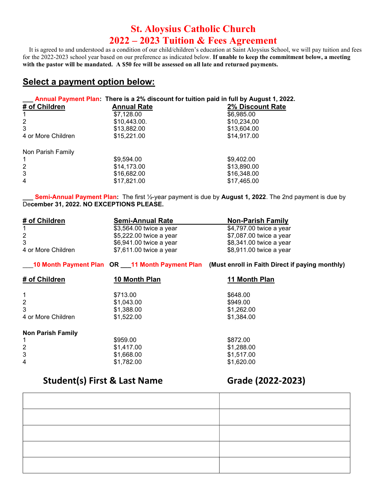## St. Aloysius Catholic Church 2022 – 2023 Tuition & Fees Agreement

 It is agreed to and understood as a condition of our child/children's education at Saint Aloysius School, we will pay tuition and fees for the 2022-2023 school year based on our preference as indicated below. If unable to keep the commitment below, a meeting with the pastor will be mandated. A \$50 fee will be assessed on all late and returned payments.

## Select a payment option below:

| Annual Payment Plan: There is a 2% discount for tuition paid in full by August 1, 2022. |  |
|-----------------------------------------------------------------------------------------|--|
|                                                                                         |  |

| # of Children      | <b>Annual Rate</b> | 2% Discount Rate |
|--------------------|--------------------|------------------|
|                    | \$7,128.00         | \$6,985.00       |
| $\overline{2}$     | \$10,443.00.       | \$10,234,00      |
| 3                  | \$13,882.00        | \$13,604.00      |
| 4 or More Children | \$15,221.00        | \$14,917.00      |
| Non Parish Family  |                    |                  |
|                    | \$9,594.00         | \$9,402.00       |
| 2                  | \$14,173.00        | \$13,890.00      |
| 3                  | \$16,682.00        | \$16,348.00      |
| $\overline{4}$     | \$17,821.00        | \$17,465.00      |

Semi-Annual Payment Plan: The first 1/2-year payment is due by August 1, 2022. The 2nd payment is due by December 31, 2022. NO EXCEPTIONS PLEASE.

| # of Children      | <b>Semi-Annual Rate</b> | <b>Non-Parish Family</b> |
|--------------------|-------------------------|--------------------------|
|                    | \$3,564.00 twice a year | \$4,797.00 twice a year  |
| 2                  | \$5,222.00 twice a year | \$7,087.00 twice a year  |
|                    | \$6,941.00 twice a year | \$8,341.00 twice a year  |
| 4 or More Children | \$7,611.00 twice a year | \$8,911.00 twice a year  |

10 Month Payment Plan OR 11 Month Payment Plan (Must enroll in Faith Direct if paying monthly)

| # of Children            | 10 Month Plan | 11 Month Plan |
|--------------------------|---------------|---------------|
|                          | \$713.00      | \$648.00      |
| 2                        | \$1,043.00    | \$949.00      |
| 3                        | \$1,388.00    | \$1,262.00    |
| 4 or More Children       | \$1,522.00    | \$1,384.00    |
| <b>Non Parish Family</b> |               |               |
|                          | \$959.00      | \$872.00      |
| 2                        | \$1,417.00    | \$1,288.00    |
| 3                        | \$1,668.00    | \$1,517.00    |
| $\overline{4}$           | \$1,782.00    | \$1,620.00    |

## Student(s) First & Last Name Grade (2022-2023)